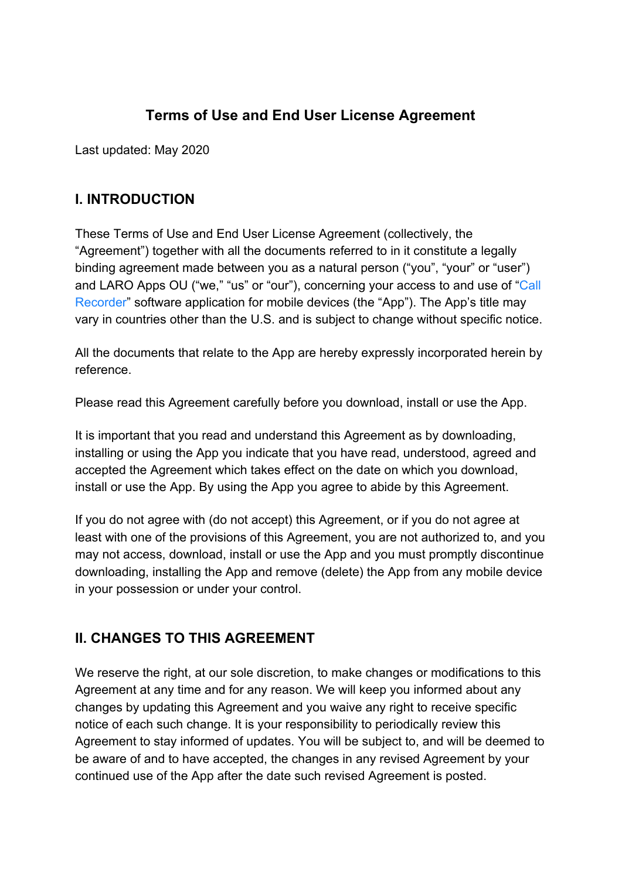# **Terms of Use and End User License Agreement**

Last updated: May 2020

## **I. INTRODUCTION**

These Terms of Use and End User License Agreement (collectively, the "Agreement") together with all the documents referred to in it constitute a legally binding agreement made between you as a natural person ("you", "your" or "user") and LARO Apps OU ("we," "us" or "our"), concerning your access to and use of "[Call](https://apps.apple.com/app/id1510103559) [Recorder"](https://apps.apple.com/app/id1510103559) software application for mobile devices (the "App"). The App's title may vary in countries other than the U.S. and is subject to change without specific notice.

All the documents that relate to the App are hereby expressly incorporated herein by reference.

Please read this Agreement carefully before you download, install or use the App.

It is important that you read and understand this Agreement as by downloading, installing or using the App you indicate that you have read, understood, agreed and accepted the Agreement which takes effect on the date on which you download, install or use the App. By using the App you agree to abide by this Agreement.

If you do not agree with (do not accept) this Agreement, or if you do not agree at least with one of the provisions of this Agreement, you are not authorized to, and you may not access, download, install or use the App and you must promptly discontinue downloading, installing the App and remove (delete) the App from any mobile device in your possession or under your control.

### **II. CHANGES TO THIS AGREEMENT**

We reserve the right, at our sole discretion, to make changes or modifications to this Agreement at any time and for any reason. We will keep you informed about any changes by updating this Agreement and you waive any right to receive specific notice of each such change. It is your responsibility to periodically review this Agreement to stay informed of updates. You will be subject to, and will be deemed to be aware of and to have accepted, the changes in any revised Agreement by your continued use of the App after the date such revised Agreement is posted.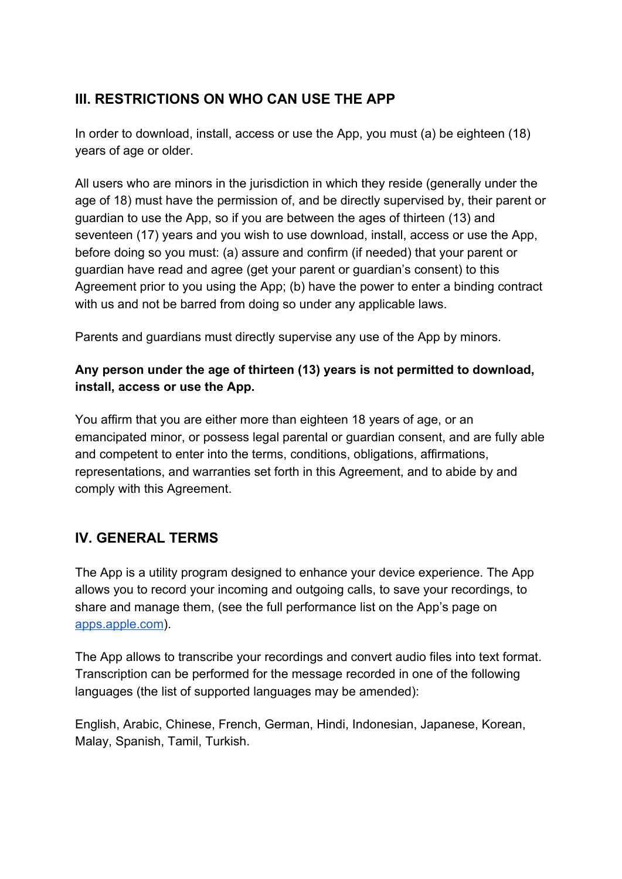# **III. RESTRICTIONS ON WHO CAN USE THE APP**

In order to download, install, access or use the App, you must (a) be eighteen (18) years of age or older.

All users who are minors in the jurisdiction in which they reside (generally under the age of 18) must have the permission of, and be directly supervised by, their parent or guardian to use the App, so if you are between the ages of thirteen (13) and seventeen (17) years and you wish to use download, install, access or use the App, before doing so you must: (a) assure and confirm (if needed) that your parent or guardian have read and agree (get your parent or guardian's consent) to this Agreement prior to you using the App; (b) have the power to enter a binding contract with us and not be barred from doing so under any applicable laws.

Parents and guardians must directly supervise any use of the App by minors.

#### **Any person under the age of thirteen (13) years is not permitted to download, install, access or use the App.**

You affirm that you are either more than eighteen 18 years of age, or an emancipated minor, or possess legal parental or guardian consent, and are fully able and competent to enter into the terms, conditions, obligations, affirmations, representations, and warranties set forth in this Agreement, and to abide by and comply with this Agreement.

### **IV. GENERAL TERMS**

The App is a utility program designed to enhance your device experience. The App allows you to record your incoming and outgoing calls, to save your recordings, to share and manage them, (see the full performance list on the App's page on [apps.apple.com\)](https://apps.apple.com/app/id1510103559).

The App allows to transcribe your recordings and convert audio files into text format. Transcription can be performed for the message recorded in one of the following languages (the list of supported languages may be amended):

English, Arabic, Chinese, French, German, Hindi, Indonesian, Japanese, Korean, Malay, Spanish, Tamil, Turkish.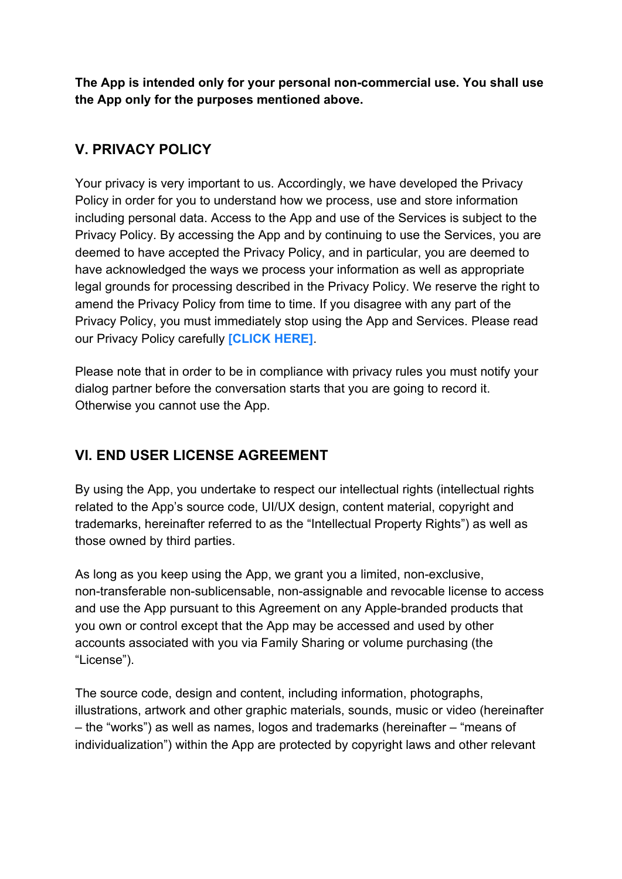**The App is intended only for your personal non-commercial use. You shall use the App only for the purposes mentioned above.**

## **V. PRIVACY POLICY**

Your privacy is very important to us. Accordingly, we have developed the Privacy Policy in order for you to understand how we process, use and store information including personal data. Access to the App and use of the Services is subject to the Privacy Policy. By accessing the App and by continuing to use the Services, you are deemed to have accepted the Privacy Policy, and in particular, you are deemed to have acknowledged the ways we process your information as well as appropriate legal grounds for processing described in the Privacy Policy. We reserve the right to amend the Privacy Policy from time to time. If you disagree with any part of the Privacy Policy, you must immediately stop using the App and Services. Please read our Privacy Policy carefully **[\[CLICK HERE\]](https://larorecorder.com/privacy.pdf)**.

Please note that in order to be in compliance with privacy rules you must notify your dialog partner before the conversation starts that you are going to record it. Otherwise you cannot use the App.

### **VI. END USER LICENSE AGREEMENT**

By using the App, you undertake to respect our intellectual rights (intellectual rights related to the App's source code, UI/UX design, content material, copyright and trademarks, hereinafter referred to as the "Intellectual Property Rights") as well as those owned by third parties.

As long as you keep using the App, we grant you a limited, non-exclusive, non-transferable non-sublicensable, non-assignable and revocable license to access and use the App pursuant to this Agreement on any Apple-branded products that you own or control except that the App may be accessed and used by other accounts associated with you via Family Sharing or volume purchasing (the "License").

The source code, design and content, including information, photographs, illustrations, artwork and other graphic materials, sounds, music or video (hereinafter – the "works") as well as names, logos and trademarks (hereinafter – "means of individualization") within the App are protected by copyright laws and other relevant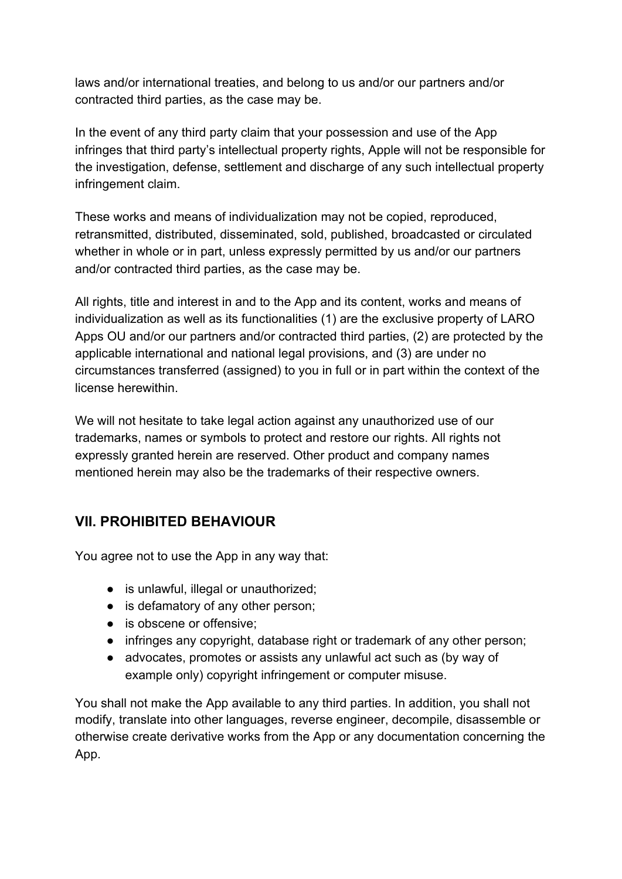laws and/or international treaties, and belong to us and/or our partners and/or contracted third parties, as the case may be.

In the event of any third party claim that your possession and use of the App infringes that third party's intellectual property rights, Apple will not be responsible for the investigation, defense, settlement and discharge of any such intellectual property infringement claim.

These works and means of individualization may not be copied, reproduced, retransmitted, distributed, disseminated, sold, published, broadcasted or circulated whether in whole or in part, unless expressly permitted by us and/or our partners and/or contracted third parties, as the case may be.

All rights, title and interest in and to the App and its content, works and means of individualization as well as its functionalities (1) are the exclusive property of LARO Apps OU and/or our partners and/or contracted third parties, (2) are protected by the applicable international and national legal provisions, and (3) are under no circumstances transferred (assigned) to you in full or in part within the context of the license herewithin.

We will not hesitate to take legal action against any unauthorized use of our trademarks, names or symbols to protect and restore our rights. All rights not expressly granted herein are reserved. Other product and company names mentioned herein may also be the trademarks of their respective owners.

# **VII. PROHIBITED BEHAVIOUR**

You agree not to use the App in any way that:

- is unlawful, illegal or unauthorized;
- is defamatory of any other person;
- is obscene or offensive;
- infringes any copyright, database right or trademark of any other person;
- advocates, promotes or assists any unlawful act such as (by way of example only) copyright infringement or computer misuse.

You shall not make the App available to any third parties. In addition, you shall not modify, translate into other languages, reverse engineer, decompile, disassemble or otherwise create derivative works from the App or any documentation concerning the App.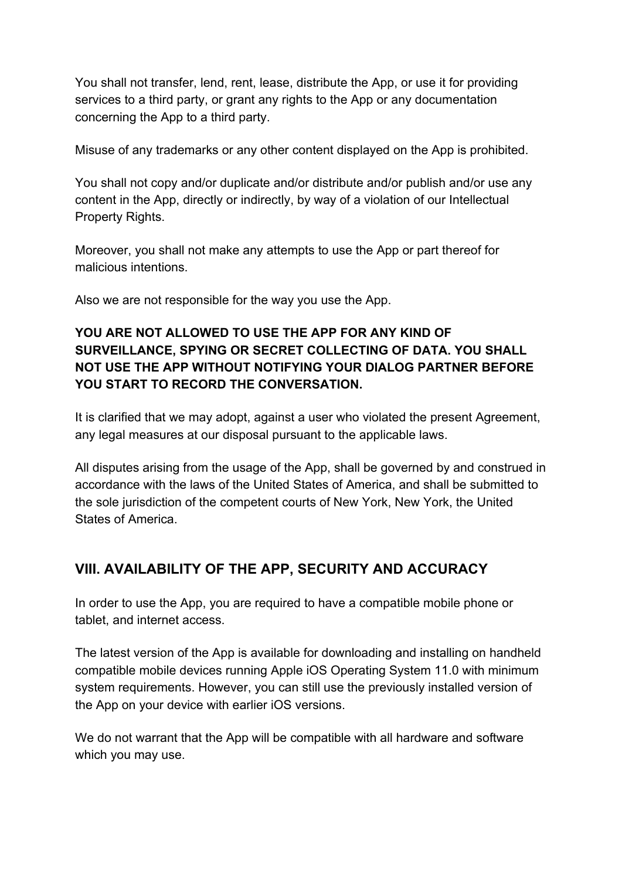You shall not transfer, lend, rent, lease, distribute the App, or use it for providing services to a third party, or grant any rights to the App or any documentation concerning the App to a third party.

Misuse of any trademarks or any other content displayed on the App is prohibited.

You shall not copy and/or duplicate and/or distribute and/or publish and/or use any content in the App, directly or indirectly, by way of a violation of our Intellectual Property Rights.

Moreover, you shall not make any attempts to use the App or part thereof for malicious intentions.

Also we are not responsible for the way you use the App.

### **YOU ARE NOT ALLOWED TO USE THE APP FOR ANY KIND OF SURVEILLANCE, SPYING OR SECRET COLLECTING OF DATA. YOU SHALL NOT USE THE APP WITHOUT NOTIFYING YOUR DIALOG PARTNER BEFORE YOU START TO RECORD THE CONVERSATION.**

It is clarified that we may adopt, against a user who violated the present Agreement, any legal measures at our disposal pursuant to the applicable laws.

All disputes arising from the usage of the App, shall be governed by and construed in accordance with the laws of the United States of America, and shall be submitted to the sole jurisdiction of the competent courts of New York, New York, the United States of America.

# **VIII. AVAILABILITY OF THE APP, SECURITY AND ACCURACY**

In order to use the App, you are required to have a compatible mobile phone or tablet, and internet access.

The latest version of the App is available for downloading and installing on handheld compatible mobile devices running Apple iOS Operating System 11.0 with minimum system requirements. However, you can still use the previously installed version of the App on your device with earlier iOS versions.

We do not warrant that the App will be compatible with all hardware and software which you may use.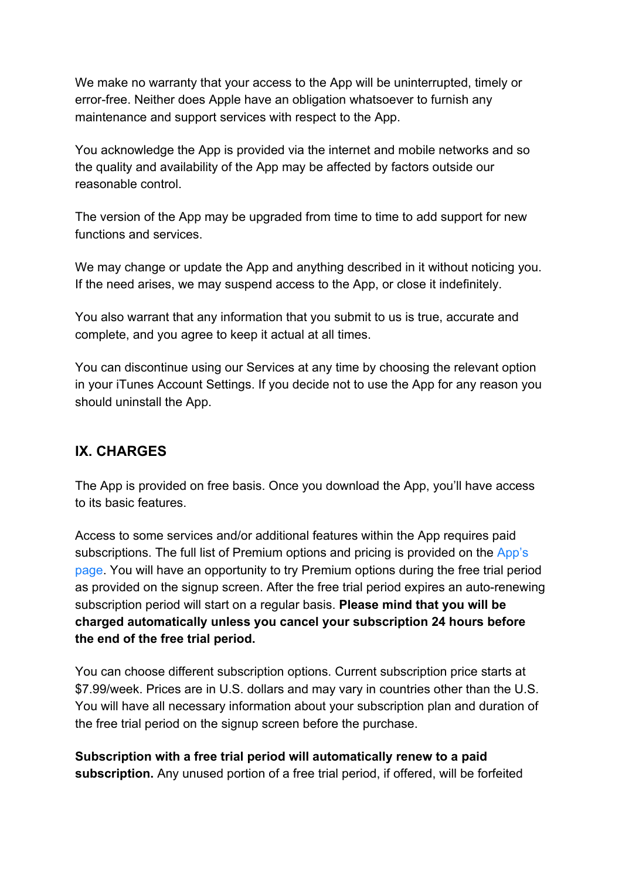We make no warranty that your access to the App will be uninterrupted, timely or error-free. Neither does Apple have an obligation whatsoever to furnish any maintenance and support services with respect to the App.

You acknowledge the App is provided via the internet and mobile networks and so the quality and availability of the App may be affected by factors outside our reasonable control.

The version of the App may be upgraded from time to time to add support for new functions and services.

We may change or update the App and anything described in it without noticing you. If the need arises, we may suspend access to the App, or close it indefinitely.

You also warrant that any information that you submit to us is true, accurate and complete, and you agree to keep it actual at all times.

You can discontinue using our Services at any time by choosing the relevant option in your iTunes Account Settings. If you decide not to use the App for any reason you should uninstall the App.

### **IX. CHARGES**

The App is provided on free basis. Once you download the App, you'll have access to its basic features.

Access to some services and/or additional features within the App requires paid subscriptions. The full list of Premium options and pricing is provided on the [App's](https://apps.apple.com/app/id1510103559) [page.](https://apps.apple.com/app/id1510103559) You will have an opportunity to try Premium options during the free trial period as provided on the signup screen. After the free trial period expires an auto-renewing subscription period will start on a regular basis. **Please mind that you will be charged automatically unless you cancel your subscription 24 hours before the end of the free trial period.**

You can choose different subscription options. Current subscription price starts at \$7.99/week. Prices are in U.S. dollars and may vary in countries other than the U.S. You will have all necessary information about your subscription plan and duration of the free trial period on the signup screen before the purchase.

**Subscription with a free trial period will automatically renew to a paid subscription.** Any unused portion of a free trial period, if offered, will be forfeited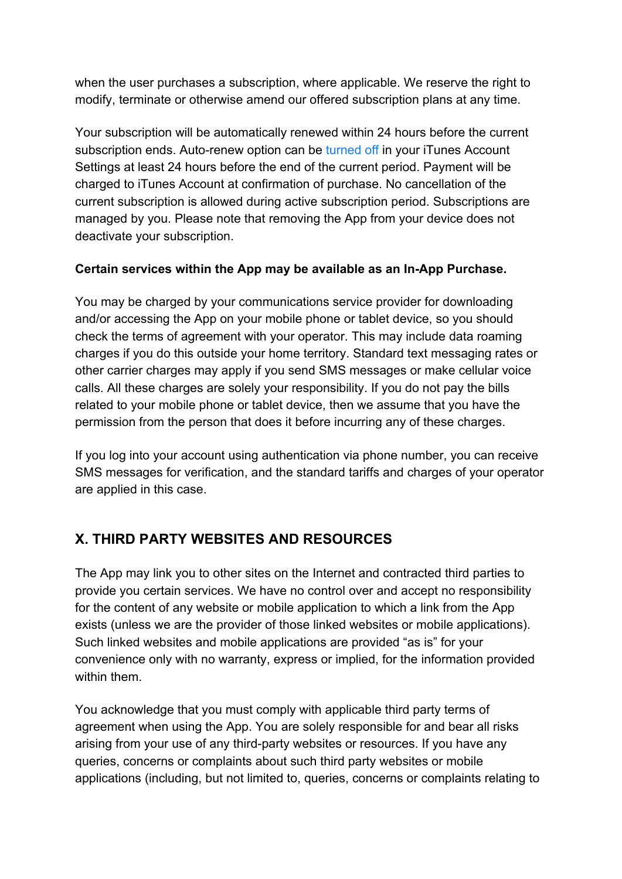when the user purchases a subscription, where applicable. We reserve the right to modify, terminate or otherwise amend our offered subscription plans at any time.

Your subscription will be automatically renewed within 24 hours before the current subscription ends. Auto-renew option can be [turned off](https://support.apple.com/HT202039) in your iTunes Account Settings at least 24 hours before the end of the current period. Payment will be charged to iTunes Account at confirmation of purchase. No cancellation of the current subscription is allowed during active subscription period. Subscriptions are managed by you. Please note that removing the App from your device does not deactivate your subscription.

#### **Certain services within the App may be available as an In-App Purchase.**

You may be charged by your communications service provider for downloading and/or accessing the App on your mobile phone or tablet device, so you should check the terms of agreement with your operator. This may include data roaming charges if you do this outside your home territory. Standard text messaging rates or other carrier charges may apply if you send SMS messages or make cellular voice calls. All these charges are solely your responsibility. If you do not pay the bills related to your mobile phone or tablet device, then we assume that you have the permission from the person that does it before incurring any of these charges.

If you log into your account using authentication via phone number, you can receive SMS messages for verification, and the standard tariffs and charges of your operator are applied in this case.

# **X. THIRD PARTY WEBSITES AND RESOURCES**

The App may link you to other sites on the Internet and contracted third parties to provide you certain services. We have no control over and accept no responsibility for the content of any website or mobile application to which a link from the App exists (unless we are the provider of those linked websites or mobile applications). Such linked websites and mobile applications are provided "as is" for your convenience only with no warranty, express or implied, for the information provided within them.

You acknowledge that you must comply with applicable third party terms of agreement when using the App. You are solely responsible for and bear all risks arising from your use of any third-party websites or resources. If you have any queries, concerns or complaints about such third party websites or mobile applications (including, but not limited to, queries, concerns or complaints relating to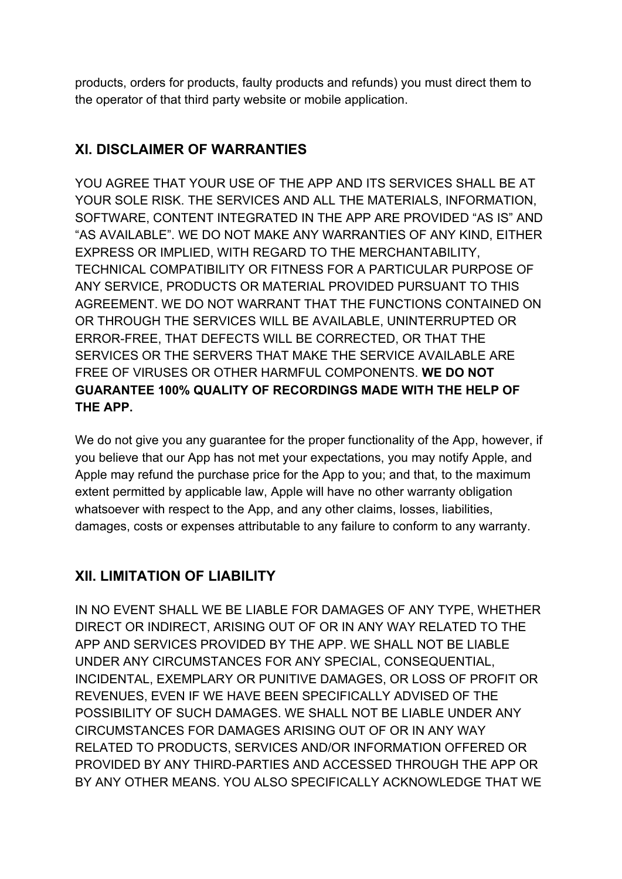products, orders for products, faulty products and refunds) you must direct them to the operator of that third party website or mobile application.

# **XI. DISCLAIMER OF WARRANTIES**

YOU AGREE THAT YOUR USE OF THE APP AND ITS SERVICES SHALL BE AT YOUR SOLE RISK. THE SERVICES AND ALL THE MATERIALS, INFORMATION, SOFTWARE, CONTENT INTEGRATED IN THE APP ARE PROVIDED "AS IS" AND "AS AVAILABLE". WE DO NOT MAKE ANY WARRANTIES OF ANY KIND, EITHER EXPRESS OR IMPLIED, WITH REGARD TO THE MERCHANTABILITY, TECHNICAL COMPATIBILITY OR FITNESS FOR A PARTICULAR PURPOSE OF ANY SERVICE, PRODUCTS OR MATERIAL PROVIDED PURSUANT TO THIS AGREEMENT. WE DO NOT WARRANT THAT THE FUNCTIONS CONTAINED ON OR THROUGH THE SERVICES WILL BE AVAILABLE, UNINTERRUPTED OR ERROR-FREE, THAT DEFECTS WILL BE CORRECTED, OR THAT THE SERVICES OR THE SERVERS THAT MAKE THE SERVICE AVAILABLE ARE FREE OF VIRUSES OR OTHER HARMFUL COMPONENTS. **WE DO NOT GUARANTEE 100% QUALITY OF RECORDINGS MADE WITH THE HELP OF THE APP.**

We do not give you any guarantee for the proper functionality of the App, however, if you believe that our App has not met your expectations, you may notify Apple, and Apple may refund the purchase price for the App to you; and that, to the maximum extent permitted by applicable law, Apple will have no other warranty obligation whatsoever with respect to the App, and any other claims, losses, liabilities, damages, costs or expenses attributable to any failure to conform to any warranty.

# **XII. LIMITATION OF LIABILITY**

IN NO EVENT SHALL WE BE LIABLE FOR DAMAGES OF ANY TYPE, WHETHER DIRECT OR INDIRECT, ARISING OUT OF OR IN ANY WAY RELATED TO THE APP AND SERVICES PROVIDED BY THE APP. WE SHALL NOT BE LIABLE UNDER ANY CIRCUMSTANCES FOR ANY SPECIAL, CONSEQUENTIAL, INCIDENTAL, EXEMPLARY OR PUNITIVE DAMAGES, OR LOSS OF PROFIT OR REVENUES, EVEN IF WE HAVE BEEN SPECIFICALLY ADVISED OF THE POSSIBILITY OF SUCH DAMAGES. WE SHALL NOT BE LIABLE UNDER ANY CIRCUMSTANCES FOR DAMAGES ARISING OUT OF OR IN ANY WAY RELATED TO PRODUCTS, SERVICES AND/OR INFORMATION OFFERED OR PROVIDED BY ANY THIRD-PARTIES AND ACCESSED THROUGH THE APP OR BY ANY OTHER MEANS. YOU ALSO SPECIFICALLY ACKNOWLEDGE THAT WE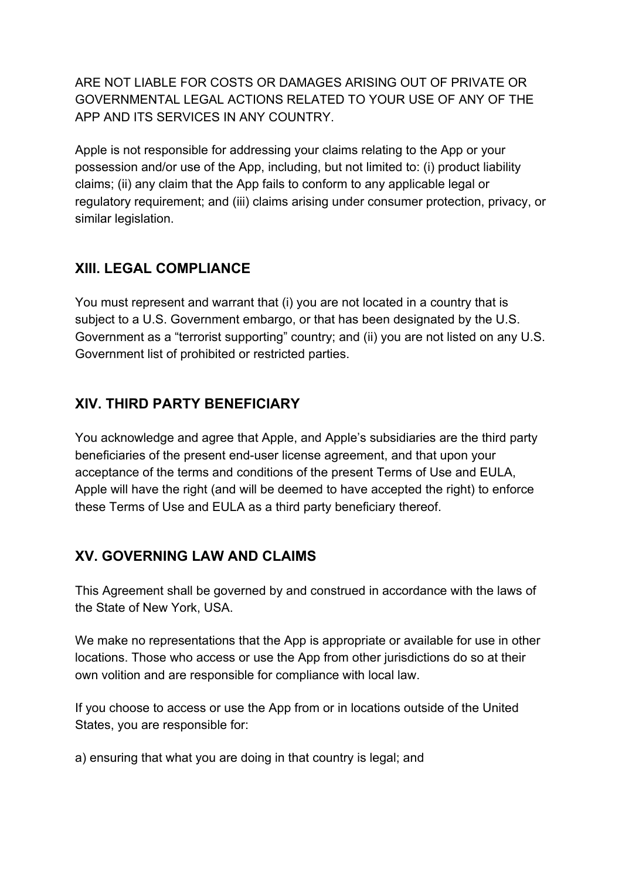ARE NOT LIABLE FOR COSTS OR DAMAGES ARISING OUT OF PRIVATE OR GOVERNMENTAL LEGAL ACTIONS RELATED TO YOUR USE OF ANY OF THE APP AND ITS SERVICES IN ANY COUNTRY.

Apple is not responsible for addressing your claims relating to the App or your possession and/or use of the App, including, but not limited to: (i) product liability claims; (ii) any claim that the App fails to conform to any applicable legal or regulatory requirement; and (iii) claims arising under consumer protection, privacy, or similar legislation.

## **XIII. LEGAL COMPLIANCE**

You must represent and warrant that (i) you are not located in a country that is subject to a U.S. Government embargo, or that has been designated by the U.S. Government as a "terrorist supporting" country; and (ii) you are not listed on any U.S. Government list of prohibited or restricted parties.

## **XIV. THIRD PARTY BENEFICIARY**

You acknowledge and agree that Apple, and Apple's subsidiaries are the third party beneficiaries of the present end-user license agreement, and that upon your acceptance of the terms and conditions of the present Terms of Use and EULA, Apple will have the right (and will be deemed to have accepted the right) to enforce these Terms of Use and EULA as a third party beneficiary thereof.

### **XV. GOVERNING LAW AND CLAIMS**

This Agreement shall be governed by and construed in accordance with the laws of the State of New York, USA.

We make no representations that the App is appropriate or available for use in other locations. Those who access or use the App from other jurisdictions do so at their own volition and are responsible for compliance with local law.

If you choose to access or use the App from or in locations outside of the United States, you are responsible for:

a) ensuring that what you are doing in that country is legal; and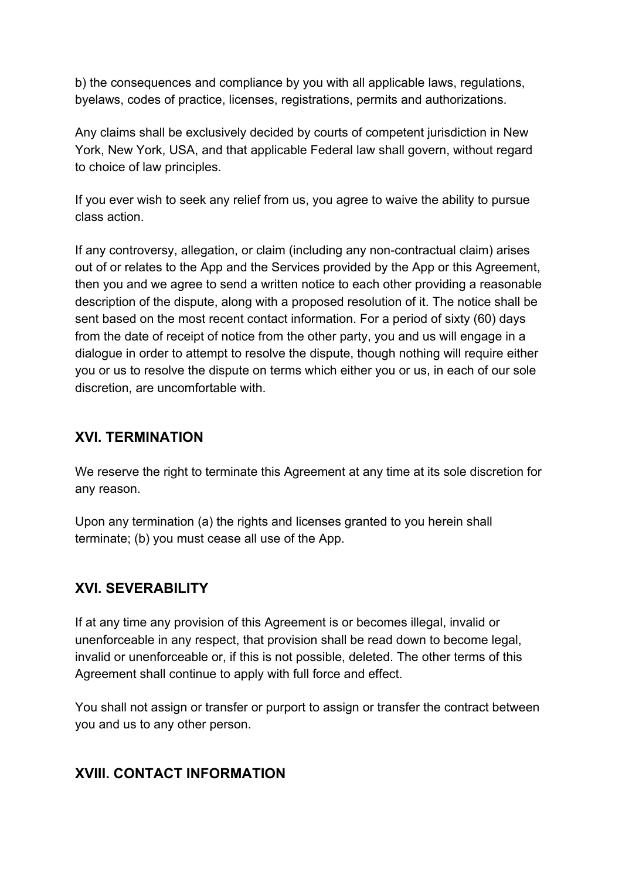b) the consequences and compliance by you with all applicable laws, regulations, byelaws, codes of practice, licenses, registrations, permits and authorizations.

Any claims shall be exclusively decided by courts of competent jurisdiction in New York, New York, USA, and that applicable Federal law shall govern, without regard to choice of law principles.

If you ever wish to seek any relief from us, you agree to waive the ability to pursue class action.

If any controversy, allegation, or claim (including any non-contractual claim) arises out of or relates to the App and the Services provided by the App or this Agreement, then you and we agree to send a written notice to each other providing a reasonable description of the dispute, along with a proposed resolution of it. The notice shall be sent based on the most recent contact information. For a period of sixty (60) days from the date of receipt of notice from the other party, you and us will engage in a dialogue in order to attempt to resolve the dispute, though nothing will require either you or us to resolve the dispute on terms which either you or us, in each of our sole discretion, are uncomfortable with.

#### **XVI. TERMINATION**

We reserve the right to terminate this Agreement at any time at its sole discretion for any reason.

Upon any termination (a) the rights and licenses granted to you herein shall terminate; (b) you must cease all use of the App.

# **XVI. SEVERABILITY**

If at any time any provision of this Agreement is or becomes illegal, invalid or unenforceable in any respect, that provision shall be read down to become legal, invalid or unenforceable or, if this is not possible, deleted. The other terms of this Agreement shall continue to apply with full force and effect.

You shall not assign or transfer or purport to assign or transfer the contract between you and us to any other person.

### **XVIII. CONTACT INFORMATION**